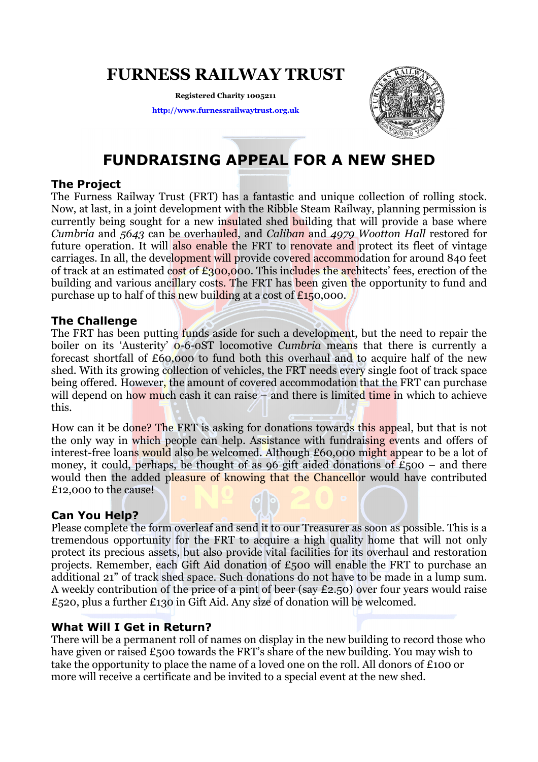### FURNESS RAILWAY TRUST

Registered Charity 1005211 http://www.furnessrailwaytrust.org.uk



## FUNDRAISING APPEAL FOR A NEW SHED

#### The Project

The Furness Railway Trust (FRT) has a fantastic and unique collection of rolling stock. Now, at last, in a joint development with the Ribble Steam Railway, planning permission is currently being sought for a new insulated shed building that will provide a base where Cumbria and 5643 can be overhauled, and Caliban and 4979 Wootton Hall restored for future operation. It will also enable the FRT to renovate and protect its fleet of vintage carriages. In all, the development will provide covered accommodation for around 840 feet of track at an estimated cost of £300,000. This includes the architects' fees, erection of the building and various ancillary costs. The FRT has been given the opportunity to fund and purchase up to half of this new building at a cost of  $E150,000$ .

#### The Challenge

The FRT has been putting funds aside for such a development, but the need to repair the boiler on its 'Austerity'  $\ddot{o}$ -6-0ST locomotive *Cumbria* means that there is currently a forecast shortfall of £60,000 to fund both this overhaul and to acquire half of the new shed. With its growing collection of vehicles, the FRT needs every single foot of track space being offered. However, the amount of covered accommodation that the FRT can purchase will depend on how much cash it can raise – and there is limited time in which to achieve this.

How can it be done? The FRT is asking for donations towards this appeal, but that is not the only way in which people can help. Assistance with fundraising events and offers of interest-free loans would also be welcomed. Although £60,000 might appear to be a lot of money, it could, perhaps, be thought of as 96 gift aided donations of  $£500 -$  and there would then the added pleasure of knowing that the Chancellor would have contributed £12,000 to the cause!

#### Can You Help?

Please complete the form overleaf and send it to our Treasurer as soon as possible. This is a tremendous opportunity for the FRT to acquire a high quality home that will not only protect its precious assets, but also provide vital facilities for its overhaul and restoration projects. Remember, each Gift Aid donation of £500 will enable the FRT to purchase an additional 21" of track shed space. Such donations do not have to be made in a lump sum. A weekly contribution of the price of a pint of beer (say £2.50) over four years would raise £520, plus a further £130 in Gift Aid. Any size of donation will be welcomed.

#### What Will I Get in Return?

There will be a permanent roll of names on display in the new building to record those who have given or raised £500 towards the FRT's share of the new building. You may wish to take the opportunity to place the name of a loved one on the roll. All donors of £100 or more will receive a certificate and be invited to a special event at the new shed.